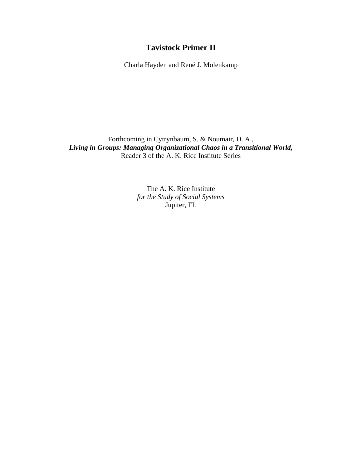# **Tavistock Primer II**

Charla Hayden and René J. Molenkamp

Forthcoming in Cytrynbaum, S. & Noumair, D. A., *Living in Groups: Managing Organizational Chaos in a Transitional World,*  Reader 3 of the A. K. Rice Institute Series

> The A. K. Rice Institute *for the Study of Social Systems*  Jupiter, FL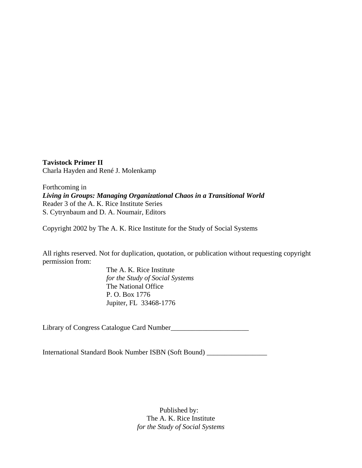**Tavistock Primer II** Charla Hayden and René J. Molenkamp

Forthcoming in *Living in Groups: Managing Organizational Chaos in a Transitional World*  Reader 3 of the A. K. Rice Institute Series S. Cytrynbaum and D. A. Noumair, Editors

Copyright 2002 by The A. K. Rice Institute for the Study of Social Systems

All rights reserved. Not for duplication, quotation, or publication without requesting copyright permission from:

> The A. K. Rice Institute *for the Study of Social Systems* The National Office P. O. Box 1776 Jupiter, FL 33468-1776

Library of Congress Catalogue Card Number\_\_\_\_\_\_\_\_\_\_\_\_\_\_\_\_\_\_\_\_\_\_

International Standard Book Number ISBN (Soft Bound) \_\_\_\_\_\_\_\_\_\_\_\_\_\_\_\_\_

Published by: The A. K. Rice Institute *for the Study of Social Systems*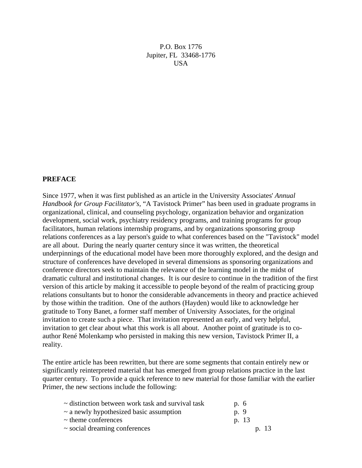P.O. Box 1776 Jupiter, FL 33468-1776 **USA** 

#### **PREFACE**

Since 1977, when it was first published as an article in the University Associates' *Annual Handbook for Group Facilitator's,* "A Tavistock Primer" has been used in graduate programs in organizational, clinical, and counseling psychology, organization behavior and organization development, social work, psychiatry residency programs, and training programs for group facilitators, human relations internship programs, and by organizations sponsoring group relations conferences as a lay person's guide to what conferences based on the "Tavistock" model are all about. During the nearly quarter century since it was written, the theoretical underpinnings of the educational model have been more thoroughly explored, and the design and structure of conferences have developed in several dimensions as sponsoring organizations and conference directors seek to maintain the relevance of the learning model in the midst of dramatic cultural and institutional changes. It is our desire to continue in the tradition of the first version of this article by making it accessible to people beyond of the realm of practicing group relations consultants but to honor the considerable advancements in theory and practice achieved by those within the tradition. One of the authors (Hayden) would like to acknowledge her gratitude to Tony Banet, a former staff member of University Associates, for the original invitation to create such a piece. That invitation represented an early, and very helpful, invitation to get clear about what this work is all about. Another point of gratitude is to coauthor René Molenkamp who persisted in making this new version, Tavistock Primer II, a reality.

The entire article has been rewritten, but there are some segments that contain entirely new or significantly reinterpreted material that has emerged from group relations practice in the last quarter century. To provide a quick reference to new material for those familiar with the earlier Primer, the new sections include the following:

| $\sim$ distinction between work task and survival task | p. 6  |
|--------------------------------------------------------|-------|
| $\sim$ a newly hypothesized basic assumption           | p. 9  |
| $\sim$ theme conferences                               | p. 13 |
| $\sim$ social dreaming conferences                     | p. 13 |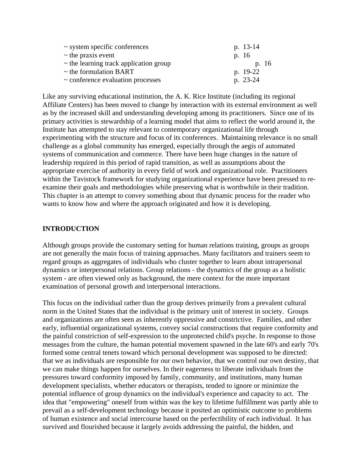| $\sim$ system specific conferences          | p. 13-14 |
|---------------------------------------------|----------|
| $\sim$ the praxis event                     | p. 16    |
| $\sim$ the learning track application group | p. 16    |
| $\sim$ the formulation BART                 | p. 19-22 |
| $\sim$ conference evaluation processes      | p. 23-24 |

Like any surviving educational institution, the A. K. Rice Institute (including its regional Affiliate Centers) has been moved to change by interaction with its external environment as well as by the increased skill and understanding developing among its practitioners. Since one of its primary activities is stewardship of a learning model that aims to reflect the world around it, the Institute has attempted to stay relevant to contemporary organizational life through experimenting with the structure and focus of its conferences. Maintaining relevance is no small challenge as a global community has emerged, especially through the aegis of automated systems of communication and commerce. There have been huge changes in the nature of leadership required in this period of rapid transition, as well as assumptions about the appropriate exercise of authority in every field of work and organizational role. Practitioners within the Tavistock framework for studying organizational experience have been pressed to reexamine their goals and methodologies while preserving what is worthwhile in their tradition. This chapter is an attempt to convey something about that dynamic process for the reader who wants to know how and where the approach originated and how it is developing.

### **INTRODUCTION**

Although groups provide the customary setting for human relations training, groups as groups are not generally the main focus of training approaches. Many facilitators and trainers seem to regard groups as aggregates of individuals who cluster together to learn about intrapersonal dynamics or interpersonal relations. Group relations - the dynamics of the group as a holistic system - are often viewed only as background, the mere context for the more important examination of personal growth and interpersonal interactions.

This focus on the individual rather than the group derives primarily from a prevalent cultural norm in the United States that the individual is the primary unit of interest in society. Groups and organizations are often seen as inherently oppressive and constrictive. Families, and other early, influential organizational systems, convey social constructions that require conformity and the painful constriction of self-expression to the unprotected child's psyche. In response to those messages from the culture, the human potential movement spawned in the late 60's and early 70's formed some central tenets toward which personal development was supposed to be directed: that we as individuals are responsible for our own behavior, that we control our own destiny, that we can make things happen for ourselves. In their eagerness to liberate individuals from the pressures toward conformity imposed by family, community, and institutions, many human development specialists, whether educators or therapists, tended to ignore or minimize the potential influence of group dynamics on the individual's experience and capacity to act. The idea that "empowering" oneself from within was the key to lifetime fulfillment was partly able to prevail as a self-development technology because it posited an optimistic outcome to problems of human existence and social intercourse based on the perfectibility of each individual. It has survived and flourished because it largely avoids addressing the painful, the hidden, and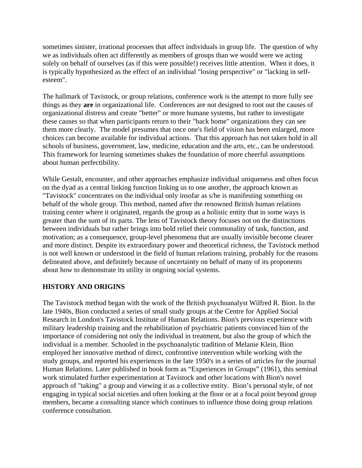sometimes sinister, irrational processes that affect individuals in group life. The question of why we as individuals often act differently as members of groups than we would were we acting solely on behalf of ourselves (as if this were possible!) receives little attention. When it does, it is typically hypothesized as the effect of an individual "losing perspective" or "lacking in selfesteem".

The hallmark of Tavistock, or group relations, conference work is the attempt to more fully see things as they **are** in organizational life. Conferences are not designed to root out the causes of organizational distress and create "better" or more humane systems, but rather to investigate these causes so that when participants return to their "back home" organizations they can see them more clearly. The model presumes that once one's field of vision has been enlarged, more choices can become available for individual actions. That this approach has not taken hold in all schools of business, government, law, medicine, education and the arts, etc., can be understood. This framework for learning sometimes shakes the foundation of more cheerful assumptions about human perfectibility.

While Gestalt, encounter, and other approaches emphasize individual uniqueness and often focus on the dyad as a central linking function linking us to one another, the approach known as "Tavistock" concentrates on the individual only insofar as s/he is manifesting something on behalf of the whole group. This method, named after the renowned British human relations training center where it originated, regards the group as a holistic entity that in some ways is greater than the sum of its parts. The lens of Tavistock theory focuses not on the distinctions between individuals but rather brings into bold relief their commonality of task, function, and motivation; as a consequence, group-level phenomena that are usually invisible become clearer and more distinct. Despite its extraordinary power and theoretical richness, the Tavistock method is not well known or understood in the field of human relations training, probably for the reasons delineated above, and definitely because of uncertainty on behalf of many of its proponents about how to demonstrate its utility in ongoing social systems.

#### **HISTORY AND ORIGINS**

The Tavistock method began with the work of the British psychoanalyst Wilfred R. Bion. In the late 1940s, Bion conducted a series of small study groups at the Centre for Applied Social Research in London's Tavistock Institute of Human Relations. Bion's previous experience with military leadership training and the rehabilitation of psychiatric patients convinced him of the importance of considering not only the individual in treatment, but also the group of which the individual is a member. Schooled in the psychoanalytic tradition of Melanie Klein, Bion employed her innovative method of direct, confrontive intervention while working with the study groups, and reported his experiences in the late 1950's in a series of articles for the journal Human Relations. Later published in book form as "Experiences in Groups" (1961), this seminal work stimulated further experimentation at Tavistock and other locations with Bion's novel approach of "taking" a group and viewing it as a collective entity. Bion's personal style, of not engaging in typical social niceties and often looking at the floor or at a focal point beyond group members, became a consulting stance which continues to influence those doing group relations conference consultation.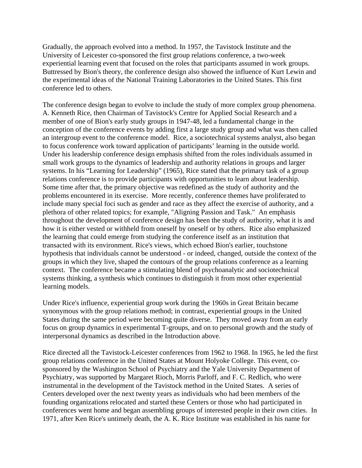Gradually, the approach evolved into a method. In 1957, the Tavistock Institute and the University of Leicester co-sponsored the first group relations conference, a two-week experiential learning event that focused on the roles that participants assumed in work groups. Buttressed by Bion's theory, the conference design also showed the influence of Kurt Lewin and the experimental ideas of the National Training Laboratories in the United States. This first conference led to others.

The conference design began to evolve to include the study of more complex group phenomena. A. Kenneth Rice, then Chairman of Tavistock's Centre for Applied Social Research and a member of one of Bion's early study groups in 1947-48, led a fundamental change in the conception of the conference events by adding first a large study group and what was then called an intergroup event to the conference model. Rice, a sociotechnical systems analyst, also began to focus conference work toward application of participants' learning in the outside world. Under his leadership conference design emphasis shifted from the roles individuals assumed in small work groups to the dynamics of leadership and authority relations in groups and larger systems. In his "Learning for Leadership" (1965), Rice stated that the primary task of a group relations conference is to provide participants with opportunities to learn about leadership. Some time after that, the primary objective was redefined as the study of authority and the problems encountered in its exercise. More recently, conference themes have proliferated to include many special foci such as gender and race as they affect the exercise of authority, and a plethora of other related topics; for example, "Aligning Passion and Task." An emphasis throughout the development of conference design has been the study of authority, what it is and how it is either vested or withheld from oneself by oneself or by others. Rice also emphasized the learning that could emerge from studying the conference itself as an institution that transacted with its environment. Rice's views, which echoed Bion's earlier, touchstone hypothesis that individuals cannot be understood - or indeed, changed, outside the context of the groups in which they live, shaped the contours of the group relations conference as a learning context. The conference became a stimulating blend of psychoanalytic and sociotechnical systems thinking, a synthesis which continues to distinguish it from most other experiential learning models.

Under Rice's influence, experiential group work during the 1960s in Great Britain became synonymous with the group relations method; in contrast, experiential groups in the United States during the same period were becoming quite diverse. They moved away from an early focus on group dynamics in experimental T-groups, and on to personal growth and the study of interpersonal dynamics as described in the Introduction above.

Rice directed all the Tavistock-Leicester conferences from 1962 to 1968. In 1965, he led the first group relations conference in the United States at Mount Holyoke College. This event, cosponsored by the Washington School of Psychiatry and the Yale University Department of Psychiatry, was supported by Margaret Rioch, Morris Parloff, and F. C. Redlich, who were instrumental in the development of the Tavistock method in the United States. A series of Centers developed over the next twenty years as individuals who had been members of the founding organizations relocated and started these Centers or those who had participated in conferences went home and began assembling groups of interested people in their own cities. In 1971, after Ken Rice's untimely death, the A. K. Rice Institute was established in his name for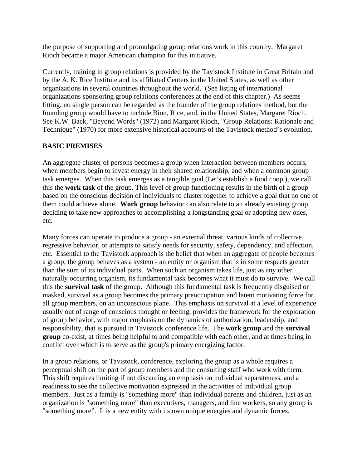the purpose of supporting and promulgating group relations work in this country. Margaret Rioch became a major American champion for this initiative.

Currently, training in group relations is provided by the Tavistock Institute in Great Britain and by the A. K. Rice Institute and its affiliated Centers in the United States, as well as other organizations in several countries throughout the world. (See listing of international organizations sponsoring group relations conferences at the end of this chapter.) As seems fitting, no single person can be regarded as the founder of the group relations method, but the founding group would have to include Bion, Rice, and, in the United States, Margaret Rioch. See K.W. Back, "Beyond Words" (1972) and Margaret Rioch, "Group Relations: Rationale and Technique" (1970) for more extensive historical accounts of the Tavistock method's evolution.

# **BASIC PREMISES**

An aggregate cluster of persons becomes a group when interaction between members occurs, when members begin to invest energy in their shared relationship, and when a common group task emerges. When this task emerges as a tangible goal (Let's establish a food coop.), we call this the **work task** of the group. This level of group functioning results in the birth of a group based on the conscious decision of individuals to cluster together to achieve a goal that no one of them could achieve alone. **Work group** behavior can also relate to an already existing group deciding to take new approaches to accomplishing a longstanding goal or adopting new ones, etc.

Many forces can operate to produce a group - an external threat, various kinds of collective regressive behavior, or attempts to satisfy needs for security, safety, dependency, and affection, etc. Essential to the Tavistock approach is the belief that when an aggregate of people becomes a group, the group behaves as a system - an entity or organism that is in some respects greater than the sum of its individual parts. When such an organism takes life, just as any other naturally occurring organism, its fundamental task becomes what it must do to survive. We call this the **survival task** of the group. Although this fundamental task is frequently disguised or masked, survival as a group becomes the primary preoccupation and latent motivating force for all group members, on an unconscious plane. This emphasis on survival at a level of experience usually out of range of conscious thought or feeling, provides the framework for the exploration of group behavior, with major emphasis on the dynamics of authorization, leadership, and responsibility, that is pursued in Tavistock conference life. The **work group** and the **survival group** co-exist, at times being helpful to and compatible with each other, and at times being in conflict over which is to serve as the group's primary energizing factor.

In a group relations, or Tavistock, conference, exploring the group as a whole requires a perceptual shift on the part of group members and the consulting staff who work with them. This shift requires limiting if not discarding an emphasis on individual separateness, and a readiness to see the collective motivation expressed in the activities of individual group members. Just as a family is "something more" than individual parents and children, just as an organization is "something more" than executives, managers, and line workers, so any group is "something more". It is a new entity with its own unique energies and dynamic forces.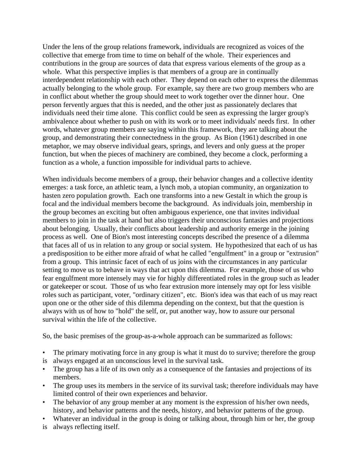Under the lens of the group relations framework, individuals are recognized as voices of the collective that emerge from time to time on behalf of the whole. Their experiences and contributions in the group are sources of data that express various elements of the group as a whole. What this perspective implies is that members of a group are in continually interdependent relationship with each other. They depend on each other to express the dilemmas actually belonging to the whole group. For example, say there are two group members who are in conflict about whether the group should meet to work together over the dinner hour. One person fervently argues that this is needed, and the other just as passionately declares that individuals need their time alone. This conflict could be seen as expressing the larger group's ambivalence about whether to push on with its work or to meet individuals' needs first. In other words, whatever group members are saying within this framework, they are talking about the group, and demonstrating their connectedness in the group. As Bion (1961) described in one metaphor, we may observe individual gears, springs, and levers and only guess at the proper function, but when the pieces of machinery are combined, they become a clock, performing a function as a whole, a function impossible for individual parts to achieve.

When individuals become members of a group, their behavior changes and a collective identity emerges: a task force, an athletic team, a lynch mob, a utopian community, an organization to hasten zero population growth. Each one transforms into a new Gestalt in which the group is focal and the individual members become the background. As individuals join, membership in the group becomes an exciting but often ambiguous experience, one that invites individual members to join in the task at hand but also triggers their unconscious fantasies and projections about belonging. Usually, their conflicts about leadership and authority emerge in the joining process as well. One of Bion's most interesting concepts described the presence of a dilemma that faces all of us in relation to any group or social system. He hypothesized that each of us has a predisposition to be either more afraid of what he called "engulfment" in a group or "extrusion" from a group. This intrinsic facet of each of us joins with the circumstances in any particular setting to move us to behave in ways that act upon this dilemma. For example, those of us who fear engulfment more intensely may vie for highly differentiated roles in the group such as leader or gatekeeper or scout. Those of us who fear extrusion more intensely may opt for less visible roles such as participant, voter, "ordinary citizen", etc. Bion's idea was that each of us may react upon one or the other side of this dilemma depending on the context, but that the question is always with us of how to "hold" the self, or, put another way, how to assure our personal survival within the life of the collective.

So, the basic premises of the group-as-a-whole approach can be summarized as follows:

- The primary motivating force in any group is what it must do to survive; therefore the group
- is always engaged at an unconscious level in the survival task.
- The group has a life of its own only as a consequence of the fantasies and projections of its members.
- The group uses its members in the service of its survival task; therefore individuals may have limited control of their own experiences and behavior.
- The behavior of any group member at any moment is the expression of his/her own needs, history, and behavior patterns and the needs, history, and behavior patterns of the group.
- Whatever an individual in the group is doing or talking about, through him or her, the group
- is always reflecting itself.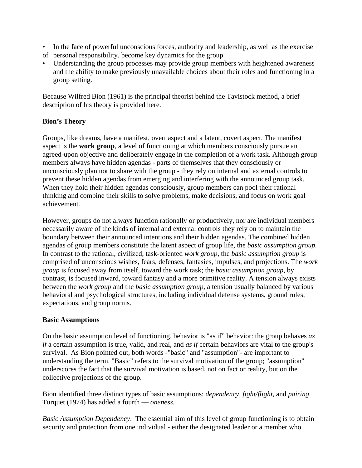- In the face of powerful unconscious forces, authority and leadership, as well as the exercise of personal responsibility, become key dynamics for the group.
- Understanding the group processes may provide group members with heightened awareness and the ability to make previously unavailable choices about their roles and functioning in a group setting.

Because Wilfred Bion (1961) is the principal theorist behind the Tavistock method, a brief description of his theory is provided here.

# **Bion's Theory**

Groups, like dreams, have a manifest, overt aspect and a latent, covert aspect. The manifest aspect is the **work group**, a level of functioning at which members consciously pursue an agreed-upon objective and deliberately engage in the completion of a work task. Although group members always have hidden agendas - parts of themselves that they consciously or unconsciously plan not to share with the group - they rely on internal and external controls to prevent these hidden agendas from emerging and interfering with the announced group task. When they hold their hidden agendas consciously, group members can pool their rational thinking and combine their skills to solve problems, make decisions, and focus on work goal achievement.

However, groups do not always function rationally or productively, nor are individual members necessarily aware of the kinds of internal and external controls they rely on to maintain the boundary between their announced intentions and their hidden agendas. The combined hidden agendas of group members constitute the latent aspect of group life, the *basic assumption group.* In contrast to the rational, civilized, task-oriented *work group*, the *basic assumption group* is comprised of unconscious wishes, fears, defenses, fantasies, impulses, and projections. The *work group* is focused away from itself, toward the work task; the *basic assumption group*, by contrast, is focused inward, toward fantasy and a more primitive reality. A tension always exists between the *work group* and the *basic assumption group*, a tension usually balanced by various behavioral and psychological structures, including individual defense systems, ground rules, expectations, and group norms.

## **Basic Assumptions**

On the basic assumption level of functioning, behavior is "as if" behavior: the group behaves *as if* a certain assumption is true, valid, and real, and *as if* certain behaviors are vital to the group's survival. As Bion pointed out, both words -"basic" and "assumption"- are important to understanding the term. "Basic" refers to the survival motivation of the group; "assumption" underscores the fact that the survival motivation is based, not on fact or reality, but on the collective projections of the group.

Bion identified three distinct types of basic assumptions: *dependency, fight/flight,* and *pairing*. Turquet (1974) has added a fourth — *oneness*.

*Basic Assumption Dependency*. The essential aim of this level of group functioning is to obtain security and protection from one individual - either the designated leader or a member who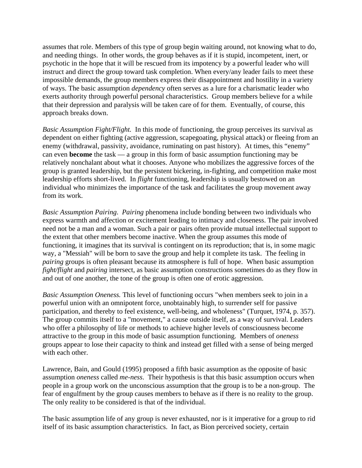assumes that role. Members of this type of group begin waiting around, not knowing what to do, and needing things. In other words, the group behaves as if it is stupid, incompetent, inert, or psychotic in the hope that it will be rescued from its impotency by a powerful leader who will instruct and direct the group toward task completion. When every/any leader fails to meet these impossible demands, the group members express their disappointment and hostility in a variety of ways. The basic assumption *dependency* often serves as a lure for a charismatic leader who exerts authority through powerful personal characteristics. Group members believe for a while that their depression and paralysis will be taken care of for them. Eventually, of course, this approach breaks down.

*Basic Assumption Fight/Flight.* In this mode of functioning, the group perceives its survival as dependent on either fighting (active aggression, scapegoating, physical attack) or fleeing from an enemy (withdrawal, passivity, avoidance, ruminating on past history). At times, this "enemy" can even **become** the task — a group in this form of basic assumption functioning may be relatively nonchalant about what it chooses. Anyone who mobilizes the aggressive forces of the group is granted leadership, but the persistent bickering, in-fighting, and competition make most leadership efforts short-lived. In *flight* functioning, leadership is usually bestowed on an individual who minimizes the importance of the task and facilitates the group movement away from its work.

*Basic Assumption Pairing*. *Pairing* phenomena include bonding between two individuals who express warmth and affection or excitement leading to intimacy and closeness. The pair involved need not be a man and a woman. Such a pair or pairs often provide mutual intellectual support to the extent that other members become inactive. When the group assumes this mode of functioning, it imagines that its survival is contingent on its reproduction; that is, in some magic way, a "Messiah" will be born to save the group and help it complete its task. The feeling in *pairing* groups is often pleasant because its atmosphere is full of hope. When basic assumption *fight/flight* and *pairing* intersect, as basic assumption constructions sometimes do as they flow in and out of one another, the tone of the group is often one of erotic aggression.

*Basic Assumption Oneness.* This level of functioning occurs "when members seek to join in a powerful union with an omnipotent force, unobtainably high, to surrender self for passive participation, and thereby to feel existence, well-being, and wholeness" (Turquet, 1974, p. 357). The group commits itself to a "movement," a cause outside itself, as a way of survival. Leaders who offer a philosophy of life or methods to achieve higher levels of consciousness become attractive to the group in this mode of basic assumption functioning. Members of *oneness* groups appear to lose their capacity to think and instead get filled with a sense of being merged with each other.

Lawrence, Bain, and Gould (1995) proposed a fifth basic assumption as the opposite of basic assumption *oneness* called *me-ness*. Their hypothesis is that this basic assumption occurs when people in a group work on the unconscious assumption that the group is to be a non-group. The fear of engulfment by the group causes members to behave as if there is no reality to the group. The only reality to be considered is that of the individual.

The basic assumption life of any group is never exhausted, nor is it imperative for a group to rid itself of its basic assumption characteristics. In fact, as Bion perceived society, certain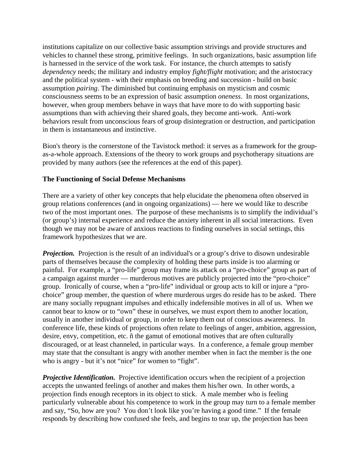institutions capitalize on our collective basic assumption strivings and provide structures and vehicles to channel these strong, primitive feelings. In such organizations, basic assumption life is harnessed in the service of the work task. For instance, the church attempts to satisfy *dependency* needs; the military and industry employ *fight/flight* motivation; and the aristocracy and the political system - with their emphasis on breeding and succession - build on basic assumption *pairing*. The diminished but continuing emphasis on mysticism and cosmic consciousness seems to be an expression of basic assumption *oneness*. In most organizations, however, when group members behave in ways that have more to do with supporting basic assumptions than with achieving their shared goals, they become anti-work. Anti-work behaviors result from unconscious fears of group disintegration or destruction, and participation in them is instantaneous and instinctive.

Bion's theory is the cornerstone of the Tavistock method: it serves as a framework for the groupas-a-whole approach. Extensions of the theory to work groups and psychotherapy situations are provided by many authors (see the references at the end of this paper).

#### **The Functioning of Social Defense Mechanisms**

There are a variety of other key concepts that help elucidate the phenomena often observed in group relations conferences (and in ongoing organizations) — here we would like to describe two of the most important ones. The purpose of these mechanisms is to simplify the individual's (or group's) internal experience and reduce the anxiety inherent in all social interactions. Even though we may not be aware of anxious reactions to finding ourselves in social settings, this framework hypothesizes that we are.

**Projection.** Projection is the result of an individual's or a group's drive to disown undesirable parts of themselves because the complexity of holding these parts inside is too alarming or painful. For example, a "pro-life" group may frame its attack on a "pro-choice" group as part of a campaign against murder — murderous motives are publicly projected into the "pro-choice" group. Ironically of course, when a "pro-life" individual or group acts to kill or injure a "prochoice" group member, the question of where murderous urges do reside has to be asked. There are many socially repugnant impulses and ethically indefensible motives in all of us. When we cannot bear to know or to "own" these in ourselves, we must export them to another location, usually in another individual or group, in order to keep them out of conscious awareness. In conference life, these kinds of projections often relate to feelings of anger, ambition, aggression, desire, envy, competition, etc. ñ the gamut of emotional motives that are often culturally discouraged, or at least channeled, in particular ways. In a conference, a female group member may state that the consultant is angry with another member when in fact the member is the one who is angry - but it's not "nice" for women to "fight".

*Projective Identification.* Projective identification occurs when the recipient of a projection accepts the unwanted feelings of another and makes them his/her own. In other words, a projection finds enough receptors in its object to stick. A male member who is feeling particularly vulnerable about his competence to work in the group may turn to a female member and say, "So, how are you? You don't look like you're having a good time." If the female responds by describing how confused she feels, and begins to tear up, the projection has been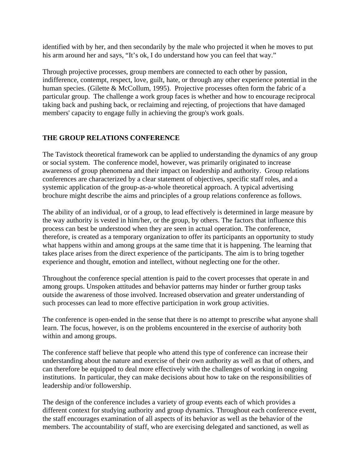identified with by her, and then secondarily by the male who projected it when he moves to put his arm around her and says, "It's ok, I do understand how you can feel that way."

Through projective processes, group members are connected to each other by passion, indifference, contempt, respect, love, guilt, hate, or through any other experience potential in the human species. (Gilette & McCollum, 1995). Projective processes often form the fabric of a particular group. The challenge a work group faces is whether and how to encourage reciprocal taking back and pushing back, or reclaiming and rejecting, of projections that have damaged members' capacity to engage fully in achieving the group's work goals.

## **THE GROUP RELATIONS CONFERENCE**

The Tavistock theoretical framework can be applied to understanding the dynamics of any group or social system. The conference model, however, was primarily originated to increase awareness of group phenomena and their impact on leadership and authority. Group relations conferences are characterized by a clear statement of objectives, specific staff roles, and a systemic application of the group-as-a-whole theoretical approach. A typical advertising brochure might describe the aims and principles of a group relations conference as follows.

The ability of an individual, or of a group, to lead effectively is determined in large measure by the way authority is vested in him/her, or the group, by others. The factors that influence this process can best be understood when they are seen in actual operation. The conference, therefore, is created as a temporary organization to offer its participants an opportunity to study what happens within and among groups at the same time that it is happening. The learning that takes place arises from the direct experience of the participants. The aim is to bring together experience and thought, emotion and intellect, without neglecting one for the other.

Throughout the conference special attention is paid to the covert processes that operate in and among groups. Unspoken attitudes and behavior patterns may hinder or further group tasks outside the awareness of those involved. Increased observation and greater understanding of such processes can lead to more effective participation in work group activities.

The conference is open-ended in the sense that there is no attempt to prescribe what anyone shall learn. The focus, however, is on the problems encountered in the exercise of authority both within and among groups.

The conference staff believe that people who attend this type of conference can increase their understanding about the nature and exercise of their own authority as well as that of others, and can therefore be equipped to deal more effectively with the challenges of working in ongoing institutions. In particular, they can make decisions about how to take on the responsibilities of leadership and/or followership.

The design of the conference includes a variety of group events each of which provides a different context for studying authority and group dynamics. Throughout each conference event, the staff encourages examination of all aspects of its behavior as well as the behavior of the members. The accountability of staff, who are exercising delegated and sanctioned, as well as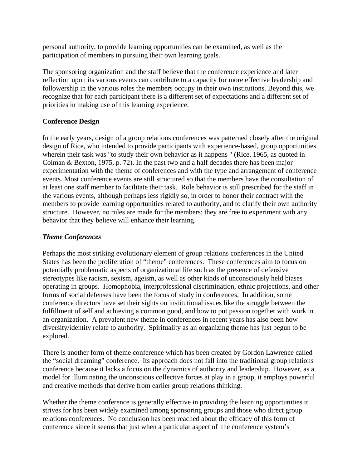personal authority, to provide learning opportunities can be examined, as well as the participation of members in pursuing their own learning goals.

The sponsoring organization and the staff believe that the conference experience and later reflection upon its various events can contribute to a capacity for more effective leadership and followership in the various roles the members occupy in their own institutions. Beyond this, we recognize that for each participant there is a different set of expectations and a different set of priorities in making use of this learning experience.

# **Conference Design**

In the early years, design of a group relations conferences was patterned closely after the original design of Rice, who intended to provide participants with experience-based, group opportunities wherein their task was "to study their own behavior as it happens " (Rice, 1965, as quoted in Colman & Bexton, 1975, p. 72). In the past two and a half decades there has been major experimentation with the theme of conferences and with the type and arrangement of conference events. Most conference events are still structured so that the members have the consultation of at least one staff member to facilitate their task. Role behavior is still prescribed for the staff in the various events, although perhaps less rigidly so, in order to honor their contract with the members to provide learning opportunities related to authority, and to clarify their own authority structure. However, no rules are made for the members; they are free to experiment with any behavior that they believe will enhance their learning.

# *Theme Conferences*

Perhaps the most striking evolutionary element of group relations conferences in the United States has been the proliferation of "theme" conferences. These conferences aim to focus on potentially problematic aspects of organizational life such as the presence of defensive stereotypes like racism, sexism, ageism, as well as other kinds of unconsciously held biases operating in groups. Homophobia, interprofessional discrimination, ethnic projections, and other forms of social defenses have been the focus of study in conferences. In addition, some conference directors have set their sights on institutional issues like the struggle between the fulfillment of self and achieving a common good, and how to put passion together with work in an organization. A prevalent new theme in conferences in recent years has also been how diversity/identity relate to authority. Spirituality as an organizing theme has just begun to be explored.

There is another form of theme conference which has been created by Gordon Lawrence called the "social dreaming" conference. Its approach does not fall into the traditional group relations conference because it lacks a focus on the dynamics of authority and leadership. However, as a model for illuminating the unconscious collective forces at play in a group, it employs powerful and creative methods that derive from earlier group relations thinking.

Whether the theme conference is generally effective in providing the learning opportunities it strives for has been widely examined among sponsoring groups and those who direct group relations conferences. No conclusion has been reached about the efficacy of this form of conference since it seems that just when a particular aspect of the conference system's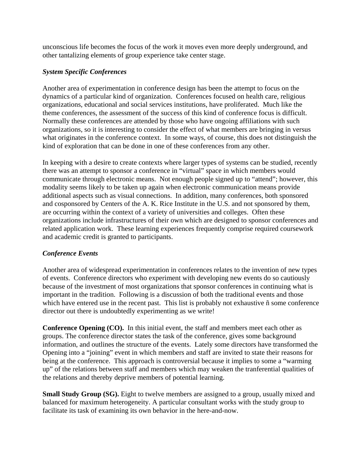unconscious life becomes the focus of the work it moves even more deeply underground, and other tantalizing elements of group experience take center stage.

### *System Specific Conferences*

Another area of experimentation in conference design has been the attempt to focus on the dynamics of a particular kind of organization. Conferences focused on health care, religious organizations, educational and social services institutions, have proliferated. Much like the theme conferences, the assessment of the success of this kind of conference focus is difficult. Normally these conferences are attended by those who have ongoing affiliations with such organizations, so it is interesting to consider the effect of what members are bringing in versus what originates in the conference context. In some ways, of course, this does not distinguish the kind of exploration that can be done in one of these conferences from any other.

In keeping with a desire to create contexts where larger types of systems can be studied, recently there was an attempt to sponsor a conference in "virtual" space in which members would communicate through electronic means. Not enough people signed up to "attend"; however, this modality seems likely to be taken up again when electronic communication means provide additional aspects such as visual connections. In addition, many conferences, both sponsored and cosponsored by Centers of the A. K. Rice Institute in the U.S. and not sponsored by them, are occurring within the context of a variety of universities and colleges. Often these organizations include infrastructures of their own which are designed to sponsor conferences and related application work. These learning experiences frequently comprise required coursework and academic credit is granted to participants.

## *Conference Events*

Another area of widespread experimentation in conferences relates to the invention of new types of events. Conference directors who experiment with developing new events do so cautiously because of the investment of most organizations that sponsor conferences in continuing what is important in the tradition. Following is a discussion of both the traditional events and those which have entered use in the recent past. This list is probably not exhaustive ñ some conference director out there is undoubtedly experimenting as we write!

**Conference Opening (CO).** In this initial event, the staff and members meet each other as groups. The conference director states the task of the conference, gives some background information, and outlines the structure of the events. Lately some directors have transformed the Opening into a "joining" event in which members and staff are invited to state their reasons for being at the conference. This approach is controversial because it implies to some a "warming up" of the relations between staff and members which may weaken the tranferential qualities of the relations and thereby deprive members of potential learning.

**Small Study Group (SG).** Eight to twelve members are assigned to a group, usually mixed and balanced for maximum heterogeneity. A particular consultant works with the study group to facilitate its task of examining its own behavior in the here-and-now.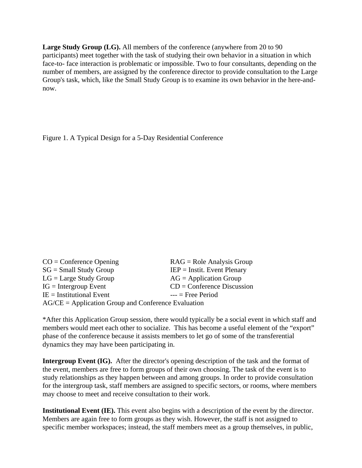**Large Study Group (LG).** All members of the conference (anywhere from 20 to 90 participants) meet together with the task of studying their own behavior in a situation in which face-to- face interaction is problematic or impossible. Two to four consultants, depending on the number of members, are assigned by the conference director to provide consultation to the Large Group's task, which, like the Small Study Group is to examine its own behavior in the here-andnow.

Figure 1. A Typical Design for a 5-Day Residential Conference

| $CO =$ Conference Opening                             | $RAG = Role Analysis Group$       |  |
|-------------------------------------------------------|-----------------------------------|--|
| $SG = Small$ Study Group                              | $IEP = Institute$ . Event Plenary |  |
| $LG = Large Study Group$                              | $AG = Application Group$          |  |
| $IG = Intergroup Event$                               | $CD =$ Conference Discussion      |  |
| $IE =$ Institutional Event                            | $---$ Free Period                 |  |
| $AG/CE = Application Group and Conference Evaluation$ |                                   |  |

\*After this Application Group session, there would typically be a social event in which staff and members would meet each other to socialize. This has become a useful element of the "export" phase of the conference because it assists members to let go of some of the transferential dynamics they may have been participating in.

**Intergroup Event (IG).** After the director's opening description of the task and the format of the event, members are free to form groups of their own choosing. The task of the event is to study relationships as they happen between and among groups. In order to provide consultation for the intergroup task, staff members are assigned to specific sectors, or rooms, where members may choose to meet and receive consultation to their work.

**Institutional Event (IE).** This event also begins with a description of the event by the director. Members are again free to form groups as they wish. However, the staff is not assigned to specific member workspaces; instead, the staff members meet as a group themselves, in public,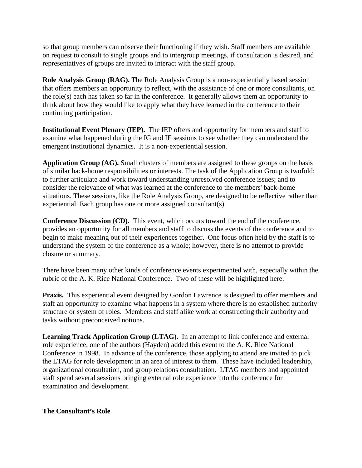so that group members can observe their functioning if they wish. Staff members are available on request to consult to single groups and to intergroup meetings, if consultation is desired, and representatives of groups are invited to interact with the staff group.

**Role Analysis Group (RAG).** The Role Analysis Group is a non-experientially based session that offers members an opportunity to reflect, with the assistance of one or more consultants, on the role(s) each has taken so far in the conference. It generally allows them an opportunity to think about how they would like to apply what they have learned in the conference to their continuing participation.

**Institutional Event Plenary (IEP).** The IEP offers and opportunity for members and staff to examine what happened during the IG and IE sessions to see whether they can understand the emergent institutional dynamics. It is a non-experiential session.

**Application Group (AG).** Small clusters of members are assigned to these groups on the basis of similar back-home responsibilities or interests. The task of the Application Group is twofold: to further articulate and work toward understanding unresolved conference issues; and to consider the relevance of what was learned at the conference to the members' back-home situations. These sessions, like the Role Analysis Group, are designed to be reflective rather than experiential. Each group has one or more assigned consultant(s).

**Conference Discussion (CD).** This event, which occurs toward the end of the conference, provides an opportunity for all members and staff to discuss the events of the conference and to begin to make meaning out of their experiences together. One focus often held by the staff is to understand the system of the conference as a whole; however, there is no attempt to provide closure or summary.

There have been many other kinds of conference events experimented with, especially within the rubric of the A. K. Rice National Conference. Two of these will be highlighted here.

**Praxis.** This experiential event designed by Gordon Lawrence is designed to offer members and staff an opportunity to examine what happens in a system where there is no established authority structure or system of roles. Members and staff alike work at constructing their authority and tasks without preconceived notions.

**Learning Track Application Group (LTAG).** In an attempt to link conference and external role experience, one of the authors (Hayden) added this event to the A. K. Rice National Conference in 1998. In advance of the conference, those applying to attend are invited to pick the LTAG for role development in an area of interest to them. These have included leadership, organizational consultation, and group relations consultation. LTAG members and appointed staff spend several sessions bringing external role experience into the conference for examination and development.

## **The Consultant's Role**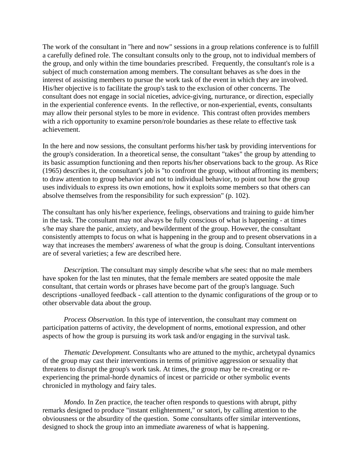The work of the consultant in "here and now" sessions in a group relations conference is to fulfill a carefully defined role. The consultant consults only to the group, not to individual members of the group, and only within the time boundaries prescribed. Frequently, the consultant's role is a subject of much consternation among members. The consultant behaves as s/he does in the interest of assisting members to pursue the work task of the event in which they are involved. His/her objective is to facilitate the group's task to the exclusion of other concerns. The consultant does not engage in social niceties, advice-giving, nurturance, or direction, especially in the experiential conference events. In the reflective, or non-experiential, events, consultants may allow their personal styles to be more in evidence. This contrast often provides members with a rich opportunity to examine person/role boundaries as these relate to effective task achievement.

In the here and now sessions, the consultant performs his/her task by providing interventions for the group's consideration. In a theoretical sense, the consultant "takes" the group by attending to its basic assumption functioning and then reports his/her observations back to the group. As Rice (1965) describes it, the consultant's job is "to confront the group, without affronting its members; to draw attention to group behavior and not to individual behavior, to point out how the group uses individuals to express its own emotions, how it exploits some members so that others can absolve themselves from the responsibility for such expression" (p. 102).

The consultant has only his/her experience, feelings, observations and training to guide him/her in the task. The consultant may not always be fully conscious of what is happening - at times s/he may share the panic, anxiety, and bewilderment of the group. However, the consultant consistently attempts to focus on what is happening in the group and to present observations in a way that increases the members' awareness of what the group is doing. Consultant interventions are of several varieties; a few are described here.

*Description.* The consultant may simply describe what s/he sees: that no male members have spoken for the last ten minutes, that the female members are seated opposite the male consultant, that certain words or phrases have become part of the group's language. Such descriptions -unalloyed feedback - call attention to the dynamic configurations of the group or to other observable data about the group.

*Process Observation.* In this type of intervention, the consultant may comment on participation patterns of activity, the development of norms, emotional expression, and other aspects of how the group is pursuing its work task and/or engaging in the survival task.

*Thematic Development.* Consultants who are attuned to the mythic, archetypal dynamics of the group may cast their interventions in terms of primitive aggression or sexuality that threatens to disrupt the group's work task. At times, the group may be re-creating or reexperiencing the primal-horde dynamics of incest or parricide or other symbolic events chronicled in mythology and fairy tales.

*Mondo.* In Zen practice, the teacher often responds to questions with abrupt, pithy remarks designed to produce "instant enlightenment," or satori, by calling attention to the obviousness or the absurdity of the question. Some consultants offer similar interventions, designed to shock the group into an immediate awareness of what is happening.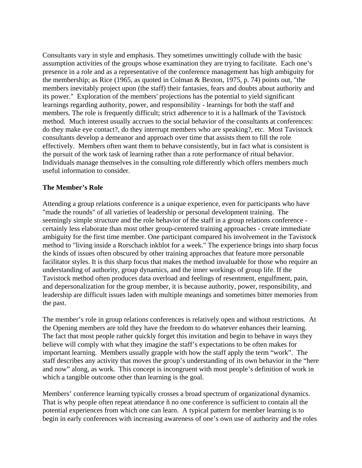Consultants vary in style and emphasis. They sometimes unwittingly collude with the basic assumption activities of the groups whose examination they are trying to facilitate. Each one's presence in a role and as a representative of the conference management has high ambiguity for the membership; as Rice (1965, as quoted in Colman & Bexton, 1975, p. 74) points out, "the members inevitably project upon (the staff) their fantasies, fears and doubts about authority and its power." Exploration of the members' projections has the potential to yield significant learnings regarding authority, power, and responsibility - learnings for both the staff and members. The role is frequently difficult; strict adherence to it is a hallmark of the Tavistock method. Much interest usually accrues to the social behavior of the consultants at conferences: do they make eye contact?, do they interrupt members who are speaking?, etc. Most Tavistock consultants develop a demeanor and approach over time that assists them to fill the role effectively. Members often want them to behave consistently, but in fact what is consistent is the pursuit of the work task of learning rather than a rote performance of ritual behavior. Individuals manage themselves in the consulting role differently which offers members much useful information to consider.

#### **The Member's Role**

Attending a group relations conference is a unique experience, even for participants who have "made the rounds" of all varieties of leadership or personal development training. The seemingly simple structure and the role behavior of the staff in a group relations conference certainly less elaborate than most other group-centered training approaches - create immediate ambiguity for the first time member. One participant compared his involvement in the Tavistock method to "living inside a Rorschach inkblot for a week." The experience brings into sharp focus the kinds of issues often obscured by other training approaches that feature more personable facilitator styles. It is this sharp focus that makes the method invaluable for those who require an understanding of authority, group dynamics, and the inner workings of group life. If the Tavistock method often produces data overload and feelings of resentment, engulfment, pain, and depersonalization for the group member, it is because authority, power, responsibility, and leadership are difficult issues laden with multiple meanings and sometimes bitter memories from the past.

The member's role in group relations conferences is relatively open and without restrictions. At the Opening members are told they have the freedom to do whatever enhances their learning. The fact that most people rather quickly forget this invitation and begin to behave in ways they believe will comply with what they imagine the staff's expectations to be often makes for important learning. Members usually grapple with how the staff apply the term "work". The staff describes any activity that moves the group's understanding of its own behavior in the "here and now" along, as work. This concept is incongruent with most people's definition of work in which a tangible outcome other than learning is the goal.

Members' conference learning typically crosses a broad spectrum of organizational dynamics. That is why people often repeat attendance ñ no one conference is sufficient to contain all the potential experiences from which one can learn. A typical pattern for member learning is to begin in early conferences with increasing awareness of one's own use of authority and the roles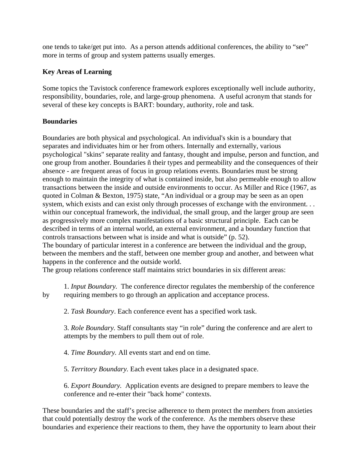one tends to take/get put into. As a person attends additional conferences, the ability to "see" more in terms of group and system patterns usually emerges.

# **Key Areas of Learning**

Some topics the Tavistock conference framework explores exceptionally well include authority, responsibility, boundaries, role, and large-group phenomena. A useful acronym that stands for several of these key concepts is BART: boundary, authority, role and task.

# **Boundaries**

Boundaries are both physical and psychological. An individual's skin is a boundary that separates and individuates him or her from others. Internally and externally, various psychological "skins" separate reality and fantasy, thought and impulse, person and function, and one group from another. Boundaries ñ their types and permeability and the consequences of their absence - are frequent areas of focus in group relations events. Boundaries must be strong enough to maintain the integrity of what is contained inside, but also permeable enough to allow transactions between the inside and outside environments to occur. As Miller and Rice (1967, as quoted in Colman & Bexton, 1975) state, "An individual or a group may be seen as an open system, which exists and can exist only through processes of exchange with the environment. . . within our conceptual framework, the individual, the small group, and the larger group are seen as progressively more complex manifestations of a basic structural principle. Each can be described in terms of an internal world, an external environment, and a boundary function that controls transactions between what is inside and what is outside" (p. 52). The boundary of particular interest in a conference are between the individual and the group,

between the members and the staff, between one member group and another, and between what happens in the conference and the outside world.

The group relations conference staff maintains strict boundaries in six different areas:

 1. *Input Boundary.* The conference director regulates the membership of the conference by requiring members to go through an application and acceptance process.

2. *Task Boundary*. Each conference event has a specified work task.

 3. *Role Boundary.* Staff consultants stay "in role" during the conference and are alert to attempts by the members to pull them out of role.

4. *Time Boundary.* All events start and end on time.

5. *Territory Boundary.* Each event takes place in a designated space.

 6. *Export Boundary.* Application events are designed to prepare members to leave the conference and re-enter their "back home" contexts.

These boundaries and the staff's precise adherence to them protect the members from anxieties that could potentially destroy the work of the conference. As the members observe these boundaries and experience their reactions to them, they have the opportunity to learn about their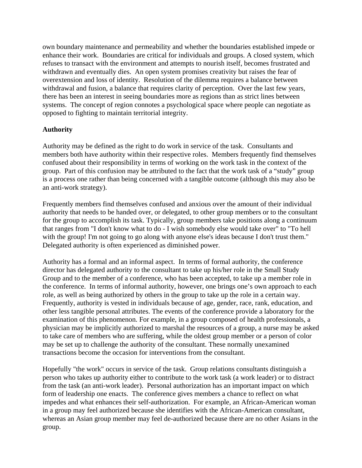own boundary maintenance and permeability and whether the boundaries established impede or enhance their work. Boundaries are critical for individuals and groups. A closed system, which refuses to transact with the environment and attempts to nourish itself, becomes frustrated and withdrawn and eventually dies. An open system promises creativity but raises the fear of overextension and loss of identity. Resolution of the dilemma requires a balance between withdrawal and fusion, a balance that requires clarity of perception. Over the last few years, there has been an interest in seeing boundaries more as regions than as strict lines between systems. The concept of region connotes a psychological space where people can negotiate as opposed to fighting to maintain territorial integrity.

### **Authority**

Authority may be defined as the right to do work in service of the task. Consultants and members both have authority within their respective roles. Members frequently find themselves confused about their responsibility in terms of working on the work task in the context of the group. Part of this confusion may be attributed to the fact that the work task of a "study" group is a process one rather than being concerned with a tangible outcome (although this may also be an anti-work strategy).

Frequently members find themselves confused and anxious over the amount of their individual authority that needs to be handed over, or delegated, to other group members or to the consultant for the group to accomplish its task. Typically, group members take positions along a continuum that ranges from "I don't know what to do - I wish somebody else would take over" to "To hell with the group! I'm not going to go along with anyone else's ideas because I don't trust them." Delegated authority is often experienced as diminished power.

Authority has a formal and an informal aspect. In terms of formal authority, the conference director has delegated authority to the consultant to take up his/her role in the Small Study Group and to the member of a conference, who has been accepted, to take up a member role in the conference. In terms of informal authority, however, one brings one's own approach to each role, as well as being authorized by others in the group to take up the role in a certain way. Frequently, authority is vested in individuals because of age, gender, race, rank, education, and other less tangible personal attributes. The events of the conference provide a laboratory for the examination of this phenomenon. For example, in a group composed of health professionals, a physician may be implicitly authorized to marshal the resources of a group, a nurse may be asked to take care of members who are suffering, while the oldest group member or a person of color may be set up to challenge the authority of the consultant. These normally unexamined transactions become the occasion for interventions from the consultant.

Hopefully "the work" occurs in service of the task. Group relations consultants distinguish a person who takes up authority either to contribute to the work task (a work leader) or to distract from the task (an anti-work leader). Personal authorization has an important impact on which form of leadership one enacts. The conference gives members a chance to reflect on what impedes and what enhances their self-authorization. For example, an African-American woman in a group may feel authorized because she identifies with the African-American consultant, whereas an Asian group member may feel de-authorized because there are no other Asians in the group.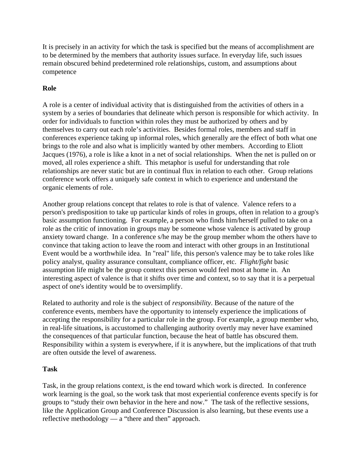It is precisely in an activity for which the task is specified but the means of accomplishment are to be determined by the members that authority issues surface. In everyday life, such issues remain obscured behind predetermined role relationships, custom, and assumptions about competence

# **Role**

A role is a center of individual activity that is distinguished from the activities of others in a system by a series of boundaries that delineate which person is responsible for which activity. In order for individuals to function within roles they must be authorized by others and by themselves to carry out each role's activities. Besides formal roles, members and staff in conferences experience taking up informal roles, which generally are the effect of both what one brings to the role and also what is implicitly wanted by other members. According to Eliott Jacques (1976), a role is like a knot in a net of social relationships. When the net is pulled on or moved, all roles experience a shift. This metaphor is useful for understanding that role relationships are never static but are in continual flux in relation to each other. Group relations conference work offers a uniquely safe context in which to experience and understand the organic elements of role.

Another group relations concept that relates to role is that of valence. Valence refers to a person's predisposition to take up particular kinds of roles in groups, often in relation to a group's basic assumption functioning. For example, a person who finds him/herself pulled to take on a role as the critic of innovation in groups may be someone whose valence is activated by group anxiety toward change. In a conference s/he may be the group member whom the others have to convince that taking action to leave the room and interact with other groups in an Institutional Event would be a worthwhile idea. In "real" life, this person's valence may be to take roles like policy analyst, quality assurance consultant, compliance officer, etc. *Flight/fight* basic assumption life might be the group context this person would feel most at home in. An interesting aspect of valence is that it shifts over time and context, so to say that it is a perpetual aspect of one's identity would be to oversimplify.

Related to authority and role is the subject of *responsibility*. Because of the nature of the conference events, members have the opportunity to intensely experience the implications of accepting the responsibility for a particular role in the group. For example, a group member who, in real-life situations, is accustomed to challenging authority overtly may never have examined the consequences of that particular function, because the heat of battle has obscured them. Responsibility within a system is everywhere, if it is anywhere, but the implications of that truth are often outside the level of awareness.

## **Task**

Task, in the group relations context, is the end toward which work is directed. In conference work learning is the goal, so the work task that most experiential conference events specify is for groups to "study their own behavior in the here and now." The task of the reflective sessions, like the Application Group and Conference Discussion is also learning, but these events use a reflective methodology — a "there and then" approach.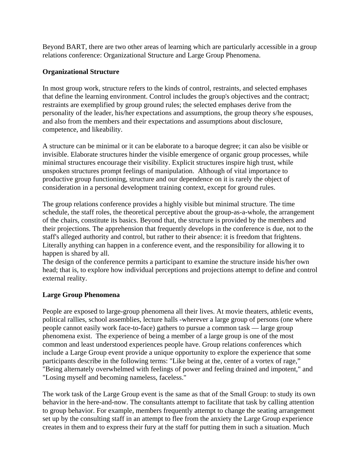Beyond BART, there are two other areas of learning which are particularly accessible in a group relations conference: Organizational Structure and Large Group Phenomena.

# **Organizational Structure**

In most group work, structure refers to the kinds of control, restraints, and selected emphases that define the learning environment. Control includes the group's objectives and the contract; restraints are exemplified by group ground rules; the selected emphases derive from the personality of the leader, his/her expectations and assumptions, the group theory s/he espouses, and also from the members and their expectations and assumptions about disclosure, competence, and likeability.

A structure can be minimal or it can be elaborate to a baroque degree; it can also be visible or invisible. Elaborate structures hinder the visible emergence of organic group processes, while minimal structures encourage their visibility. Explicit structures inspire high trust, while unspoken structures prompt feelings of manipulation. Although of vital importance to productive group functioning, structure and our dependence on it is rarely the object of consideration in a personal development training context, except for ground rules.

The group relations conference provides a highly visible but minimal structure. The time schedule, the staff roles, the theoretical perceptive about the group-as-a-whole, the arrangement of the chairs, constitute its basics. Beyond that, the structure is provided by the members and their projections. The apprehension that frequently develops in the conference is due, not to the staff's alleged authority and control, but rather to their absence: it is freedom that frightens. Literally anything can happen in a conference event, and the responsibility for allowing it to happen is shared by all.

The design of the conference permits a participant to examine the structure inside his/her own head; that is, to explore how individual perceptions and projections attempt to define and control external reality.

# **Large Group Phenomena**

People are exposed to large-group phenomena all their lives. At movie theaters, athletic events, political rallies, school assemblies, lecture halls -wherever a large group of persons (one where people cannot easily work face-to-face) gathers to pursue a common task — large group phenomena exist. The experience of being a member of a large group is one of the most common and least understood experiences people have. Group relations conferences which include a Large Group event provide a unique opportunity to explore the experience that some participants describe in the following terms: "Like being at the, center of a vortex of rage," "Being alternately overwhelmed with feelings of power and feeling drained and impotent," and "Losing myself and becoming nameless, faceless."

The work task of the Large Group event is the same as that of the Small Group: to study its own behavior in the here-and-now. The consultants attempt to facilitate that task by calling attention to group behavior. For example, members frequently attempt to change the seating arrangement set up by the consulting staff in an attempt to flee from the anxiety the Large Group experience creates in them and to express their fury at the staff for putting them in such a situation. Much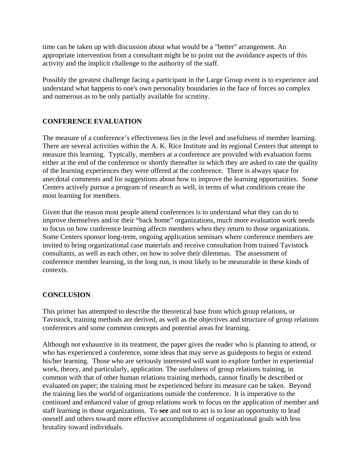time can be taken up with discussion about what would be a "better" arrangement. An appropriate intervention from a consultant might be to point out the avoidance aspects of this activity and the implicit challenge to the authority of the staff.

Possibly the greatest challenge facing a participant in the Large Group event is to experience and understand what happens to one's own personality boundaries in the face of forces so complex and numerous as to be only partially available for scrutiny.

### **CONFERENCE EVALUATION**

The measure of a conference's effectiveness lies in the level and usefulness of member learning. There are several activities within the A. K. Rice Institute and its regional Centers that attempt to measure this learning. Typically, members at a conference are provided with evaluation forms either at the end of the conference or shortly thereafter in which they are asked to rate the quality of the learning experiences they were offered at the conference. There is always space for anecdotal comments and for suggestions about how to improve the learning opportunities. Some Centers actively pursue a program of research as well, in terms of what conditions create the most learning for members.

Given that the reason most people attend conferences is to understand what they can do to improve themselves and/or their "back home" organizations, much more evaluation work needs to focus on how conference learning affects members when they return to those organizations. Some Centers sponsor long-term, ongoing application seminars where conference members are invited to bring organizational case materials and receive consultation from trained Tavistock consultants, as well as each other, on how to solve their dilemmas. The assessment of conference member learning, in the long run, is most likely to be measurable in these kinds of contexts.

#### **CONCLUSION**

This primer has attempted to describe the theoretical base from which group relations, or Tavistock, training methods are derived, as well as the objectives and structure of group relations conferences and some common concepts and potential areas for learning.

Although not exhaustive in its treatment, the paper gives the reader who is planning to attend, or who has experienced a conference, some ideas that may serve as guideposts to begin or extend his/her learning. Those who are seriously interested will want to explore further in experiential work, theory, and particularly, application. The usefulness of group relations training, in common with that of other human relations training methods, cannot finally be described or evaluated on paper; the training must be experienced before its measure can be taken. Beyond the training lies the world of organizations outside the conference. It is imperative to the continued and enhanced value of group relations work to focus on the application of member and staff learning in those organizations. To **see** and not to act is to lose an opportunity to lead oneself and others toward more effective accomplishment of organizational goals with less brutality toward individuals.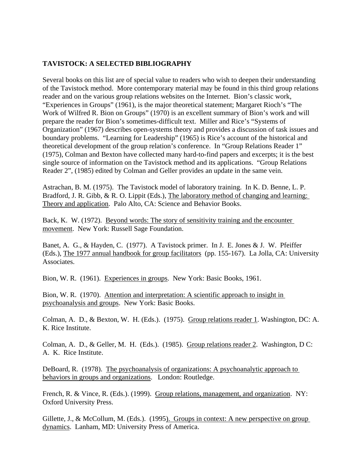# **TAVISTOCK: A SELECTED BIBLIOGRAPHY**

Several books on this list are of special value to readers who wish to deepen their understanding of the Tavistock method. More contemporary material may be found in this third group relations reader and on the various group relations websites on the Internet. Bion's classic work, "Experiences in Groups" (1961), is the major theoretical statement; Margaret Rioch's "The Work of Wilfred R. Bion on Groups" (1970) is an excellent summary of Bion's work and will prepare the reader for Bion's sometimes-difficult text. Miller and Rice's "Systems of Organization" (1967) describes open-systems theory and provides a discussion of task issues and boundary problems. "Learning for Leadership" (1965) is Rice's account of the historical and theoretical development of the group relation's conference. In "Group Relations Reader 1" (1975), Colman and Bexton have collected many hard-to-find papers and excerpts; it is the best single source of information on the Tavistock method and its applications. "Group Relations Reader 2", (1985) edited by Colman and Geller provides an update in the same vein.

Astrachan, B. M. (1975). The Tavistock model of laboratory training. In K. D. Benne, L. P. Bradford, J. R. Gibb, & R. O. Lippit (Eds.), The laboratory method of changing and learning: Theory and application. Palo Alto, CA: Science and Behavior Books.

Back, K. W. (1972). <u>Beyond words: The story of sensitivity training and the encounter</u> movement. New York: Russell Sage Foundation.

Banet, A. G., & Hayden, C. (1977). A Tavistock primer. In J. E. Jones & J. W. Pfeiffer (Eds.), The 1977 annual handbook for group facilitators (pp. 155-167). La Jolla, CA: University Associates.

Bion, W. R. (1961). Experiences in groups. New York: Basic Books, 1961.

Bion, W. R. (1970). Attention and interpretation: A scientific approach to insight in psychoanalysis and groups. New York: Basic Books.

Colman, A. D., & Bexton, W. H. (Eds.). (1975). Group relations reader 1. Washington, DC: A. K. Rice Institute.

Colman, A. D., & Geller, M. H. (Eds.). (1985). Group relations reader 2. Washington, D C: A. K. Rice Institute.

DeBoard, R. (1978). The psychoanalysis of organizations: A psychoanalytic approach to behaviors in groups and organizations. London: Routledge.

French, R. & Vince, R. (Eds.). (1999). Group relations, management, and organization. NY: Oxford University Press.

Gillette, J., & McCollum, M. (Eds.). (1995). Groups in context: A new perspective on group dynamics. Lanham, MD: University Press of America.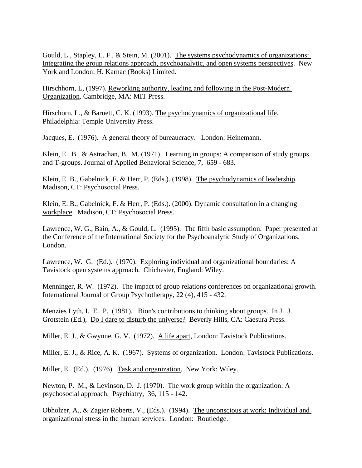Gould, L., Stapley, L. F., & Stein, M. (2001). The systems psychodynamics of organizations: Integrating the group relations approach, psychoanalytic, and open systems perspectives. New York and London: H. Karnac (Books) Limited.

Hirschhorn, L, (1997). Reworking authority, leading and following in the Post-Modern Organization. Cambridge, MA: MIT Press.

Hirschorn, L., & Barnett, C. K. (1993). The psychodynamics of organizational life. Philadelphia: Temple University Press.

Jacques, E. (1976). A general theory of bureaucracy. London: Heinemann.

Klein, E. B., & Astrachan, B. M. (1971). Learning in groups: A comparison of study groups and T-groups. Journal of Applied Behavioral Science, 7, 659 - 683.

Klein, E. B., Gabelnick, F. & Herr, P. (Eds.). (1998). The psychodynamics of leadership. Madison, CT: Psychosocial Press.

Klein, E. B., Gabelnick, F. & Herr, P. (Eds.). (2000). Dynamic consultation in a changing workplace. Madison, CT: Psychosocial Press.

Lawrence, W. G., Bain, A., & Gould, L. (1995). The fifth basic assumption. Paper presented at the Conference of the International Society for the Psychoanalytic Study of Organizations. London.

Lawrence, W. G. (Ed.). (1970). Exploring individual and organizational boundaries: A Tavistock open systems approach. Chichester, England: Wiley.

Menninger, R. W. (1972). The impact of group relations conferences on organizational growth. International Journal of Group Psychotherapy, 22 (4), 415 - 432.

Menzies Lyth, I. E. P. (1981). Bion's contributions to thinking about groups. In J. J. Grotstein (Ed.), Do I dare to disturb the universe? Beverly Hills, CA: Caesura Press.

Miller, E. J., & Gwynne, G. V. (1972). A life apart, London: Tavistock Publications.

Miller, E. J., & Rice, A. K. (1967). Systems of organization. London: Tavistock Publications.

Miller, E. (Ed.). (1976). Task and organization. New York: Wiley.

Newton, P. M., & Levinson, D. J. (1970). The work group within the organization: A psychosocial approach. Psychiatry, 36, 115 - 142.

Obholzer, A., & Zagier Roberts, V., (Eds.). (1994). The unconscious at work: Individual and organizational stress in the human services. London: Routledge.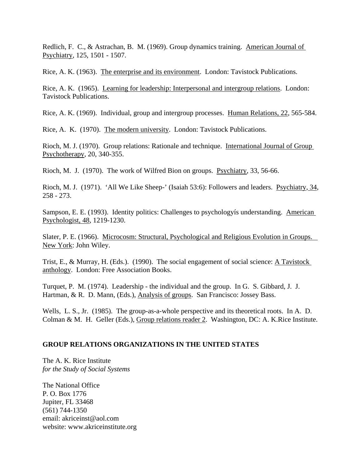Redlich, F. C., & Astrachan, B. M. (1969). Group dynamics training. American Journal of Psychiatry, 125, 1501 - 1507.

Rice, A. K. (1963). The enterprise and its environment. London: Tavistock Publications.

Rice, A. K. (1965). Learning for leadership: Interpersonal and intergroup relations. London: Tavistock Publications.

Rice, A. K. (1969). Individual, group and intergroup processes. Human Relations, 22, 565-584.

Rice, A. K. (1970). The modern university. London: Tavistock Publications.

Rioch, M. J. (1970). Group relations: Rationale and technique. International Journal of Group Psychotherapy, 20, 340-355.

Rioch, M. J. (1970). The work of Wilfred Bion on groups. Psychiatry, 33, 56-66.

Rioch, M. J. (1971). 'All We Like Sheep-' (Isaiah 53:6): Followers and leaders. Psychiatry, 34, 258 - 273.

Sampson, E. E. (1993). Identity politics: Challenges to psychologyís understanding. American Psychologist, 48, 1219-1230.

Slater, P. E. (1966). Microcosm: Structural, Psychological and Religious Evolution in Groups. New York: John Wiley.

Trist, E., & Murray, H. (Eds.). (1990). The social engagement of social science: A Tavistock anthology. London: Free Association Books.

Turquet, P. M. (1974). Leadership - the individual and the group. In G. S. Gibbard, J. J. Hartman, & R. D. Mann, (Eds.), Analysis of groups. San Francisco: Jossey Bass.

Wells, L. S., Jr. (1985). The group-as-a-whole perspective and its theoretical roots. In A. D. Colman & M. H. Geller (Eds.), Group relations reader 2. Washington, DC: A. K.Rice Institute.

#### **GROUP RELATIONS ORGANIZATIONS IN THE UNITED STATES**

The A. K. Rice Institute *for the Study of Social Systems* 

The National Office P. O. Box 1776 Jupiter, FL 33468 (561) 744-1350 email: akriceinst@aol.com website: www.akriceinstitute.org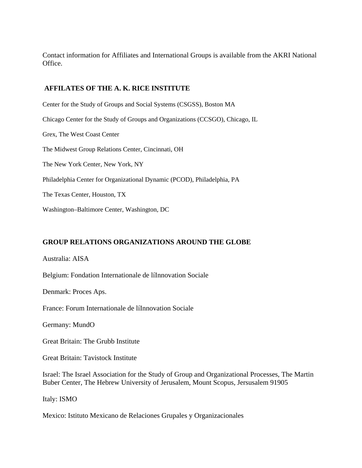Contact information for Affiliates and International Groups is available from the AKRI National Office.

#### **AFFILATES OF THE A. K. RICE INSTITUTE**

Center for the Study of Groups and Social Systems (CSGSS), Boston MA Chicago Center for the Study of Groups and Organizations (CCSGO), Chicago, IL Grex, The West Coast Center The Midwest Group Relations Center, Cincinnati, OH The New York Center, New York, NY Philadelphia Center for Organizational Dynamic (PCOD), Philadelphia, PA The Texas Center, Houston, TX

Washington–Baltimore Center, Washington, DC

## **GROUP RELATIONS ORGANIZATIONS AROUND THE GLOBE**

Australia: AISA

Belgium: Fondation Internationale de líInnovation Sociale

Denmark: Proces Aps.

France: Forum Internationale de líInnovation Sociale

Germany: MundO

Great Britain: The Grubb Institute

Great Britain: Tavistock Institute

Israel: The Israel Association for the Study of Group and Organizational Processes, The Martin Buber Center, The Hebrew University of Jerusalem, Mount Scopus, Jersusalem 91905

Italy: ISMO

Mexico: Istituto Mexicano de Relaciones Grupales y Organizacionales